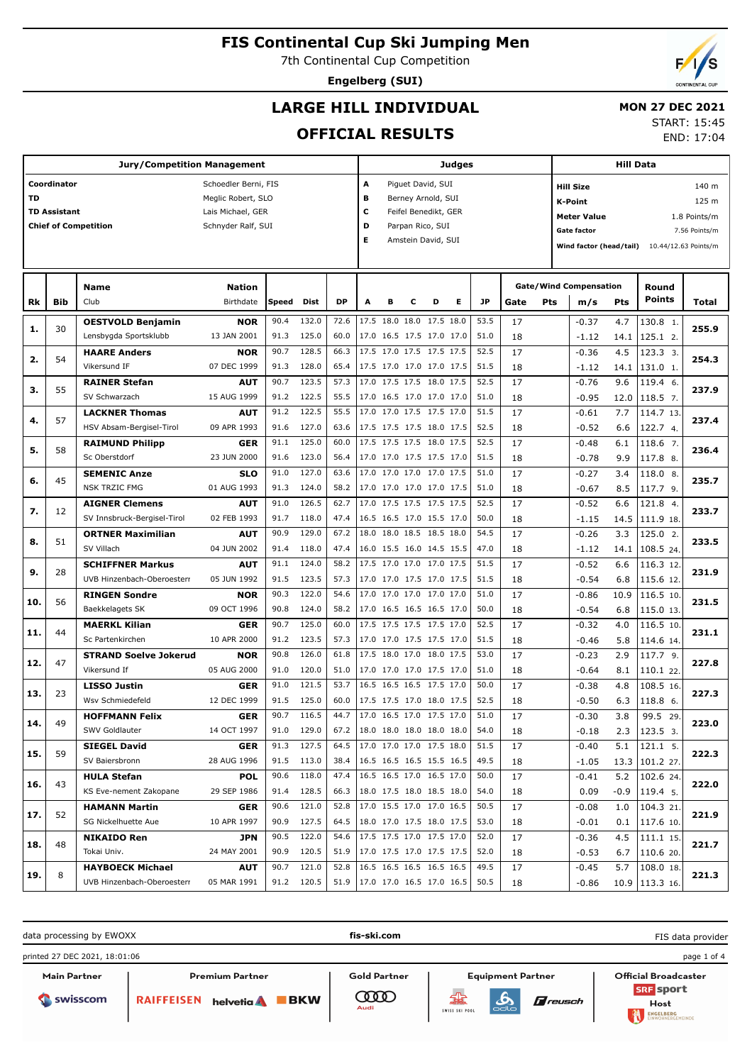7th Continental Cup Competition

**Engelberg (SUI)**

## **LARGE HILL INDIVIDUAL**

### **MON 27 DEC 2021**

## **OFFICIAL RESULTS**

START: 15:45 END: 17:04

|     |                     | <b>Jury/Competition Management</b>      |                           |              |                |              |                           | Judges                                                       |   |                    |   |              |          |     | <b>Hill Data</b>                   |            |                                |               |  |
|-----|---------------------|-----------------------------------------|---------------------------|--------------|----------------|--------------|---------------------------|--------------------------------------------------------------|---|--------------------|---|--------------|----------|-----|------------------------------------|------------|--------------------------------|---------------|--|
|     | Coordinator         |                                         | Schoedler Berni, FIS      |              |                |              | Α                         |                                                              |   | Piguet David, SUI  |   |              |          |     | <b>Hill Size</b>                   |            |                                | 140 m         |  |
| TD  |                     |                                         | Meglic Robert, SLO        |              |                |              | в                         |                                                              |   | Berney Arnold, SUI |   |              |          |     | K-Point                            |            |                                | 125 m         |  |
|     | <b>TD Assistant</b> |                                         | Lais Michael, GER         |              |                |              | c<br>Feifel Benedikt, GER |                                                              |   |                    |   |              |          |     | <b>Meter Value</b><br>1.8 Points/m |            |                                |               |  |
|     |                     | <b>Chief of Competition</b>             | Schnyder Ralf, SUI        |              |                |              | D                         |                                                              |   | Parpan Rico, SUI   |   |              |          |     |                                    |            |                                | 7.56 Points/m |  |
|     |                     |                                         |                           |              |                |              | Е                         | Gate factor<br>Amstein David, SUI<br>Wind factor (head/tail) |   |                    |   |              |          |     |                                    |            |                                |               |  |
|     |                     |                                         |                           |              |                |              |                           |                                                              |   |                    |   |              |          |     |                                    |            | 10.44/12.63 Points/m           |               |  |
|     |                     |                                         |                           |              |                |              |                           |                                                              |   |                    |   |              |          |     |                                    |            |                                |               |  |
|     |                     | Name                                    | <b>Nation</b>             |              |                |              |                           |                                                              |   |                    |   |              |          |     | <b>Gate/Wind Compensation</b>      |            | Round                          |               |  |
| Rk  | Bib                 | Club                                    | Birthdate                 | Speed        | Dist           | <b>DP</b>    | A                         | в                                                            | с | D                  | Е | JP           | Gate     | Pts | m/s                                | <b>Pts</b> | <b>Points</b>                  | <b>Total</b>  |  |
| 1.  | 30                  | <b>OESTVOLD Benjamin</b>                | <b>NOR</b>                | 90.4         | 132.0          | 72.6         |                           | 17.5 18.0 18.0 17.5 18.0                                     |   |                    |   | 53.5         | 17       |     | $-0.37$                            | 4.7        | 130.8 1.                       | 255.9         |  |
|     |                     | Lensbygda Sportsklubb                   | 13 JAN 2001               | 91.3         | 125.0          | 60.0         |                           | 17.0 16.5 17.5 17.0 17.0                                     |   |                    |   | 51.0         | 18       |     | $-1.12$                            | 14.1       | 125.1 2.                       |               |  |
| 2.  | 54                  | <b>HAARE Anders</b>                     | <b>NOR</b>                | 90.7         | 128.5          | 66.3         |                           | 17.5 17.0 17.5 17.5 17.5                                     |   |                    |   | 52.5         | 17       |     | $-0.36$                            | 4.5        | 123.3 3.                       | 254.3         |  |
|     |                     | Vikersund IF                            | 07 DEC 1999               | 91.3         | 128.0          | 65.4         |                           | 17.5 17.0 17.0 17.0 17.5                                     |   |                    |   | 51.5         | 18       |     | $-1.12$                            | 14.1       | 131.0 1.                       |               |  |
| з.  | 55                  | <b>RAINER Stefan</b>                    | <b>AUT</b>                | 90.7         | 123.5          | 57.3         |                           | 17.0 17.5 17.5 18.0 17.5                                     |   |                    |   | 52.5         | 17       |     | $-0.76$                            | 9.6        | 119.4 6.                       | 237.9         |  |
|     |                     | SV Schwarzach                           | 15 AUG 1999               | 91.2         | 122.5          | 55.5         |                           | 17.0 16.5 17.0 17.0 17.0                                     |   |                    |   | 51.0         | 18       |     | $-0.95$                            | 12.0       | 118.5 7.                       |               |  |
| 4.  | 57                  | <b>LACKNER Thomas</b>                   | <b>AUT</b>                | 91.2         | 122.5          | 55.5         |                           | 17.0 17.0 17.5 17.5 17.0                                     |   |                    |   | 51.5         | 17       |     | $-0.61$                            | 7.7        | 114.7 13                       | 237.4         |  |
|     |                     | HSV Absam-Bergisel-Tirol                | 09 APR 1993               | 91.6         | 127.0          | 63.6         |                           | 17.5 17.5 17.5 18.0 17.5                                     |   |                    |   | 52.5         | 18       |     | $-0.52$                            | 6.6        | 122.7 4.                       |               |  |
| 5.  | 58                  | <b>RAIMUND Philipp</b>                  | <b>GER</b>                | 91.1         | 125.0          | 60.0         |                           | 17.5 17.5 17.5 18.0 17.5                                     |   |                    |   | 52.5         | 17       |     | $-0.48$                            | 6.1        | 118.6 7.                       | 236.4         |  |
|     |                     | Sc Oberstdorf                           | 23 JUN 2000               | 91.6         | 123.0          | 56.4         |                           | 17.0 17.0 17.5 17.5 17.0                                     |   |                    |   | 51.5         | 18       |     | $-0.78$                            | 9.9        | 117.8 8.                       |               |  |
| 6.  | 45                  | <b>SEMENIC Anze</b>                     | <b>SLO</b>                | 91.0         | 127.0          | 63.6         |                           | 17.0 17.0 17.0 17.0 17.5                                     |   |                    |   | 51.0         | 17       |     | $-0.27$                            | 3.4        | 118.0 8.                       | 235.7         |  |
|     |                     | <b>NSK TRZIC FMG</b>                    | 01 AUG 1993               | 91.3         | 124.0          | 58.2         |                           | 17.0 17.0 17.0 17.0 17.5                                     |   |                    |   | 51.0         | 18       |     | $-0.67$                            | 8.5        | 117.7 9.                       |               |  |
| 7.  | 12                  | <b>AIGNER Clemens</b>                   | <b>AUT</b>                | 91.0         | 126.5          | 62.7         |                           | 17.0 17.5 17.5 17.5 17.5                                     |   |                    |   | 52.5         | 17       |     | $-0.52$                            | 6.6        | 121.8 4.                       | 233.7         |  |
|     |                     | SV Innsbruck-Bergisel-Tirol             | 02 FEB 1993               | 91.7         | 118.0          | 47.4         |                           | 16.5 16.5 17.0 15.5 17.0                                     |   |                    |   | 50.0         | 18       |     | $-1.15$                            | 14.5       | 111.9 18.                      |               |  |
| 8.  | 51                  | <b>ORTNER Maximilian</b>                | <b>AUT</b>                | 90.9         | 129.0          | 67.2         |                           | 18.0 18.0 18.5 18.5 18.0                                     |   |                    |   | 54.5         | 17       |     | $-0.26$                            | 3.3        | 125.0 2.                       | 233.5         |  |
|     |                     | SV Villach                              | 04 JUN 2002               | 91.4         | 118.0          | 47.4         |                           | 16.0 15.5 16.0 14.5 15.5                                     |   |                    |   | 47.0         | 18       |     | $-1.12$                            | 14.1       | 108.5 24.                      |               |  |
| 9.  | 28                  | <b>SCHIFFNER Markus</b>                 | <b>AUT</b>                | 91.1         | 124.0          | 58.2         |                           | 17.5 17.0 17.0 17.0 17.5                                     |   |                    |   | 51.5         | 17       |     | $-0.52$                            | 6.6        | 116.3 12                       | 231.9         |  |
|     |                     | UVB Hinzenbach-Oberoesterr              | 05 JUN 1992               | 91.5         | 123.5          | 57.3         |                           | 17.0 17.0 17.5 17.0 17.5                                     |   |                    |   | 51.5         | 18       |     | $-0.54$                            | 6.8        | 115.6 12.                      |               |  |
| 10. | 56                  | <b>RINGEN Sondre</b>                    | <b>NOR</b>                | 90.3         | 122.0          | 54.6         |                           | 17.0 17.0 17.0 17.0 17.0                                     |   |                    |   | 51.0         | 17       |     | $-0.86$                            | 10.9       | 116.5 10                       | 231.5         |  |
|     |                     | Baekkelagets SK                         | 09 OCT 1996               | 90.8         | 124.0          | 58.2         |                           | 17.0 16.5 16.5 16.5 17.0                                     |   |                    |   | 50.0         | 18       |     | $-0.54$                            | 6.8        | 115.0 13.                      |               |  |
| 11. | 44                  | <b>MAERKL Kilian</b>                    | <b>GER</b>                | 90.7         | 125.0          | 60.0         |                           | 17.5 17.5 17.5 17.5 17.0                                     |   |                    |   | 52.5         | 17       |     | $-0.32$                            | 4.0        | 116.5 10                       | 231.1         |  |
|     |                     | Sc Partenkirchen                        | 10 APR 2000               | 91.2         | 123.5          | 57.3         |                           | 17.0 17.0 17.5 17.5 17.0                                     |   |                    |   | 51.5         | 18       |     | $-0.46$                            | 5.8        | 114.6 14.                      |               |  |
| 12. | 47                  | <b>STRAND Soelve Jokerud</b>            | <b>NOR</b>                | 90.8         | 126.0          | 61.8         |                           | 17.5 18.0 17.0 18.0 17.5                                     |   |                    |   | 53.0         | 17       |     | $-0.23$                            | 2.9        | 117.7 9.                       | 227.8         |  |
|     |                     | Vikersund If                            | 05 AUG 2000               | 91.0         | 120.0          | 51.0         |                           | 17.0 17.0 17.0 17.5 17.0                                     |   |                    |   | 51.0         | 18       |     | $-0.64$                            | 8.1        | 110.1 22.                      |               |  |
| 13. | 23                  | <b>LISSO Justin</b>                     | <b>GER</b><br>12 DEC 1999 | 91.0         | 121.5          | 53.7         |                           | 16.5 16.5 16.5 17.5 17.0                                     |   |                    |   | 50.0         | 17       |     | $-0.38$                            | 4.8        | 108.5 16.                      | 227.3         |  |
|     |                     | Wsv Schmiedefeld                        |                           | 91.5<br>90.7 | 125.0<br>116.5 | 60.0<br>44.7 |                           | 17.5 17.5 17.0 18.0 17.5<br>17.0 16.5 17.0 17.5 17.0         |   |                    |   | 52.5<br>51.0 | 18       |     | $-0.50$                            | 6.3        | 118.8 6.                       |               |  |
| 14. | 49                  | <b>HOFFMANN Felix</b><br>SWV Goldlauter | <b>GER</b><br>14 OCT 1997 |              | 91.0 129.0     | 67.2         |                           | 18.0 18.0 18.0 18.0 18.0                                     |   |                    |   | 54.0         | 17       |     | $-0.30$                            | 3.8        | 99.5 29.                       | 223.0         |  |
|     |                     |                                         |                           | 91.3         | 127.5          | 64.5         |                           | 17.0 17.0 17.0 17.5 18.0                                     |   |                    |   | 51.5         | 18<br>17 |     | $-0.18$                            |            | $2.3$   123.5 3.<br>$121.1$ 5. |               |  |
| 15. | 59                  | <b>SIEGEL David</b><br>SV Baiersbronn   | <b>GER</b><br>28 AUG 1996 | 91.5         | 113.0          | 38.4         |                           | 16.5 16.5 16.5 15.5 16.5                                     |   |                    |   | 49.5         | 18       |     | $-0.40$<br>$-1.05$                 | 5.1        | 13.3 101.2 27.                 | 222.3         |  |
|     |                     | <b>HULA Stefan</b>                      | <b>POL</b>                | 90.6         | 118.0          | 47.4         |                           | 16.5 16.5 17.0 16.5 17.0                                     |   |                    |   | 50.0         | 17       |     | $-0.41$                            | 5.2        | 102.624                        |               |  |
| 16. | 43                  | KS Eve-nement Zakopane                  | 29 SEP 1986               | 91.4         | 128.5          | 66.3         |                           | 18.0 17.5 18.0 18.5 18.0                                     |   |                    |   | 54.0         | 18       |     | 0.09                               |            | $-0.9$   119.4 5.              | 222.0         |  |
|     |                     | <b>HAMANN Martin</b>                    |                           | 90.6         | 121.0          | 52.8         |                           | 17.0 15.5 17.0 17.0 16.5                                     |   |                    |   | 50.5         |          |     |                                    |            |                                |               |  |
| 17. | 52                  | SG Nickelhuette Aue                     | <b>GER</b><br>10 APR 1997 | 90.9         | 127.5          | 64.5         |                           | 18.0 17.0 17.5 18.0 17.5                                     |   |                    |   | 53.0         | 17<br>18 |     | $-0.08$<br>$-0.01$                 | 1.0        | 104.321.<br>$0.1$   117.6 10.  | 221.9         |  |
|     |                     | <b>NIKAIDO Ren</b>                      | <b>JPN</b>                | 90.5         | 122.0          | 54.6         |                           | 17.5 17.5 17.0 17.5 17.0                                     |   |                    |   | 52.0         | 17       |     | $-0.36$                            | 4.5        | $111.1$ 15.                    |               |  |
| 18. | 48                  | Tokai Univ.                             | 24 MAY 2001               | 90.9         | 120.5          | 51.9         |                           | 17.0 17.5 17.0 17.5 17.5                                     |   |                    |   | 52.0         | 18       |     | $-0.53$                            |            | 6.7   110.6 20.                | 221.7         |  |
|     |                     | <b>HAYBOECK Michael</b>                 | <b>AUT</b>                | 90.7         | 121.0          | 52.8         |                           | 16.5 16.5 16.5 16.5 16.5                                     |   |                    |   | 49.5         | 17       |     | $-0.45$                            | 5.7        | $108.0$ 18.                    |               |  |
| 19. | 8                   | UVB Hinzenbach-Oberoesterr              | 05 MAR 1991               |              | 91.2 120.5     | 51.9         |                           | 17.0 17.0 16.5 17.0 16.5                                     |   |                    |   | 50.5         | 18       |     | $-0.86$                            |            | 10.9 113.3 16.                 | 221.3         |  |
|     |                     |                                         |                           |              |                |              |                           |                                                              |   |                    |   |              |          |     |                                    |            |                                |               |  |

data processing by EWOXX **fis-ski.com** FIS data providerprinted 27 DEC 2021, 18:01:06 page 1 of 4 Main Partner Premium Partner **Gold Partner** Equipment Partner Official Broadcaster **SRF** sport **COOD**  $\mathbf{A}$ Swisscom RAIFFEISEN helvetia BKW  $\pi$ reusch Host SWISS SKI POOL ENGELBERG

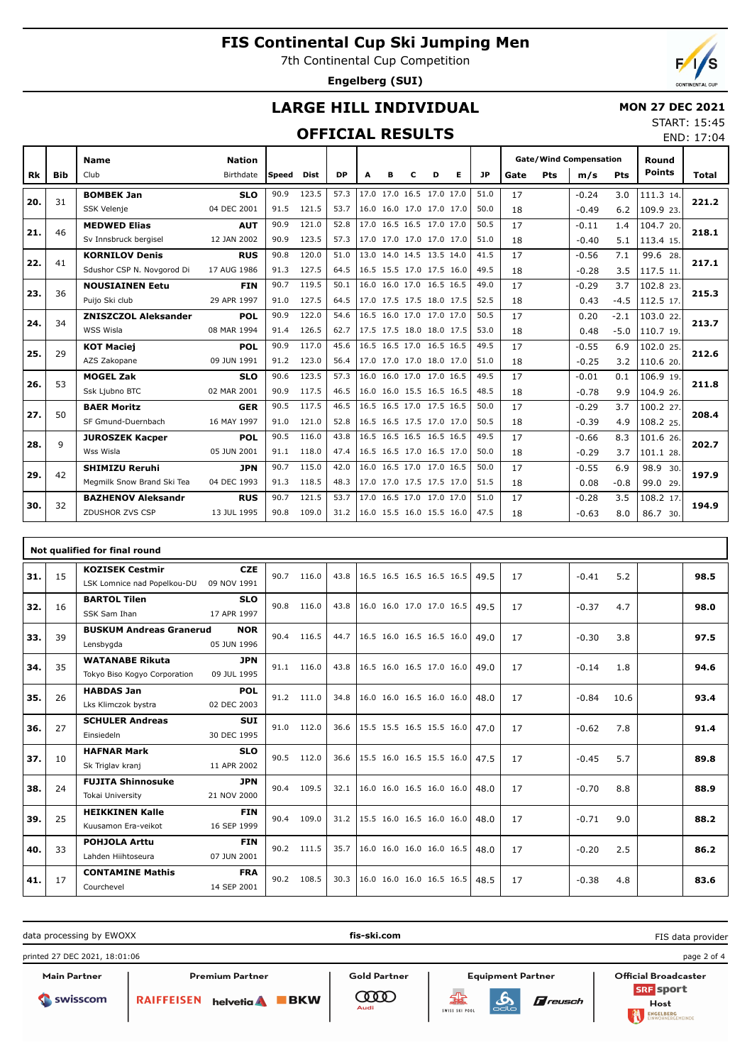7th Continental Cup Competition

**Engelberg (SUI)**

## **LARGE HILL INDIVIDUAL**

#### **MON 27 DEC 2021** START: 15:45

END: 17:04

### **OFFICIAL RESULTS**

|     |     | <b>Name</b>                 | <b>Nation</b> |        |             |           |                          |   |   |                          |   |           | <b>Gate/Wind Compensation</b> |     | Round   |            |               |       |
|-----|-----|-----------------------------|---------------|--------|-------------|-----------|--------------------------|---|---|--------------------------|---|-----------|-------------------------------|-----|---------|------------|---------------|-------|
| Rk  | Bib | Club                        | Birthdate     | lSpeed | <b>Dist</b> | <b>DP</b> | A                        | в | c | D                        | Е | <b>JP</b> | Gate                          | Pts | m/s     | <b>Pts</b> | <b>Points</b> | Total |
|     |     | <b>BOMBEK Jan</b>           | <b>SLO</b>    | 90.9   | 123.5       | 57.3      |                          |   |   | 17.0 17.0 16.5 17.0 17.0 |   | 51.0      | 17                            |     | $-0.24$ | 3.0        | 111.3 14.     |       |
| 20. | 31  | <b>SSK Velenie</b>          | 04 DEC 2001   | 91.5   | 121.5       | 53.7      |                          |   |   | 16.0 16.0 17.0 17.0 17.0 |   | 50.0      | 18                            |     | $-0.49$ | 6.2        | 109.9 23.     | 221.2 |
| 21. | 46  | <b>MEDWED Elias</b>         | <b>AUT</b>    | 90.9   | 121.0       | 52.8      |                          |   |   | 17.0 16.5 16.5 17.0 17.0 |   | 50.5      | 17                            |     | $-0.11$ | 1.4        | 104.7 20.     | 218.1 |
|     |     | Sv Innsbruck bergisel       | 12 JAN 2002   | 90.9   | 123.5       | 57.3      |                          |   |   | 17.0 17.0 17.0 17.0 17.0 |   | 51.0      | 18                            |     | $-0.40$ | 5.1        | 113.4 15.     |       |
| 22. | 41  | <b>KORNILOV Denis</b>       | <b>RUS</b>    | 90.8   | 120.0       | 51.0      |                          |   |   | 13.0 14.0 14.5 13.5 14.0 |   | 41.5      | 17                            |     | $-0.56$ | 7.1        | 99.6 28.      | 217.1 |
|     |     | Sdushor CSP N. Novgorod Di  | 17 AUG 1986   | 91.3   | 127.5       | 64.5      |                          |   |   | 16.5 15.5 17.0 17.5 16.0 |   | 49.5      | 18                            |     | $-0.28$ | 3.5        | 117.5 11.     |       |
| 23. | 36  | <b>NOUSIAINEN Eetu</b>      | <b>FIN</b>    | 90.7   | 119.5       | 50.1      |                          |   |   | 16.0 16.0 17.0 16.5 16.5 |   | 49.0      | 17                            |     | $-0.29$ | 3.7        | 102.8 23.     | 215.3 |
|     |     | Puijo Ski club              | 29 APR 1997   | 91.0   | 127.5       | 64.5      |                          |   |   | 17.0 17.5 17.5 18.0 17.5 |   | 52.5      | 18                            |     | 0.43    | $-4.5$     | 112.5 17.     |       |
| 24. | 34  | <b>ZNISZCZOL Aleksander</b> | <b>POL</b>    | 90.9   | 122.0       | 54.6      |                          |   |   | 16.5 16.0 17.0 17.0 17.0 |   | 50.5      | 17                            |     | 0.20    | $-2.1$     | 103.0 22.     | 213.7 |
|     |     | WSS Wisla                   | 08 MAR 1994   | 91.4   | 126.5       | 62.7      |                          |   |   | 17.5 17.5 18.0 18.0 17.5 |   | 53.0      | 18                            |     | 0.48    | $-5.0$     | 110.7 19.     |       |
| 25. | 29  | <b>KOT Maciej</b>           | <b>POL</b>    | 90.9   | 117.0       | 45.6      |                          |   |   | 16.5 16.5 17.0 16.5 16.5 |   | 49.5      | 17                            |     | $-0.55$ | 6.9        | 102.0 25.     | 212.6 |
|     |     | AZS Zakopane                | 09 JUN 1991   | 91.2   | 123.0       | 56.4      | 17.0 17.0 17.0 18.0 17.0 |   |   |                          |   | 51.0      | 18                            |     | $-0.25$ | 3.2        | 110.6 20.     |       |
| 26. | 53  | <b>MOGEL Zak</b>            | <b>SLO</b>    | 90.6   | 123.5       | 57.3      |                          |   |   | 16.0 16.0 17.0 17.0 16.5 |   | 49.5      | 17                            |     | $-0.01$ | 0.1        | 106.9 19.     | 211.8 |
|     |     | Ssk Ljubno BTC              | 02 MAR 2001   | 90.9   | 117.5       | 46.5      |                          |   |   | 16.0 16.0 15.5 16.5 16.5 |   | 48.5      | 18                            |     | $-0.78$ | 9.9        | 104.9 26.     |       |
| 27. | 50  | <b>BAER Moritz</b>          | <b>GER</b>    | 90.5   | 117.5       | 46.5      |                          |   |   | 16.5 16.5 17.0 17.5 16.5 |   | 50.0      | 17                            |     | $-0.29$ | 3.7        | 100.2 27.     | 208.4 |
|     |     | SF Gmund-Duernbach          | 16 MAY 1997   | 91.0   | 121.0       | 52.8      | 16.5 16.5 17.5 17.0 17.0 |   |   |                          |   | 50.5      | 18                            |     | $-0.39$ | 4.9        | 108.2 25.     |       |
| 28. | 9   | <b>JUROSZEK Kacper</b>      | <b>POL</b>    | 90.5   | 116.0       | 43.8      |                          |   |   | 16.5 16.5 16.5 16.5 16.5 |   | 49.5      | 17                            |     | $-0.66$ | 8.3        | 101.6 26.     | 202.7 |
|     |     | Wss Wisla                   | 05 JUN 2001   | 91.1   | 118.0       | 47.4      |                          |   |   | 16.5 16.5 17.0 16.5 17.0 |   | 50.0      | 18                            |     | $-0.29$ | 3.7        | 101.1 28.     |       |
| 29. | 42  | <b>SHIMIZU Reruhi</b>       | <b>JPN</b>    | 90.7   | 115.0       | 42.0      |                          |   |   | 16.0 16.5 17.0 17.0 16.5 |   | 50.0      | 17                            |     | $-0.55$ | 6.9        | 98.9<br>30.   | 197.9 |
|     |     | Megmilk Snow Brand Ski Tea  | 04 DEC 1993   | 91.3   | 118.5       | 48.3      |                          |   |   | 17.0 17.0 17.5 17.5 17.0 |   | 51.5      | 18                            |     | 0.08    | $-0.8$     | 99.0 29.      |       |
| 30. | 32  | <b>BAZHENOV Aleksandr</b>   | <b>RUS</b>    | 90.7   | 121.5       | 53.7      |                          |   |   | 17.0 16.5 17.0 17.0 17.0 |   | 51.0      | 17                            |     | $-0.28$ | 3.5        | 108.2 17.     | 194.9 |
|     |     | ZDUSHOR ZVS CSP             | 13 JUL 1995   | 90.8   | 109.0       | 31.2      | 16.0 15.5 16.0 15.5 16.0 |   |   |                          |   | 47.5      | 18                            |     | $-0.63$ | 8.0        | 86.7 30.      |       |

|     |    | Not qualified for final round                          |                           |      |       |      |                          |  |      |    |         |      |      |
|-----|----|--------------------------------------------------------|---------------------------|------|-------|------|--------------------------|--|------|----|---------|------|------|
| 31. | 15 | <b>KOZISEK Cestmir</b><br>LSK Lomnice nad Popelkou-DUI | <b>CZE</b><br>09 NOV 1991 | 90.7 | 116.0 | 43.8 | 16.5 16.5 16.5 16.5 16.5 |  | 49.5 | 17 | $-0.41$ | 5.2  | 98.5 |
|     |    | <b>BARTOL Tilen</b>                                    | <b>SLO</b>                |      |       |      |                          |  |      |    |         |      |      |
| 32. | 16 | SSK Sam Ihan                                           | 17 APR 1997               | 90.8 | 116.0 | 43.8 | 16.0 16.0 17.0 17.0 16.5 |  | 49.5 | 17 | $-0.37$ | 4.7  | 98.0 |
|     |    | <b>BUSKUM Andreas Granerud</b><br><b>NOR</b>           |                           |      |       |      |                          |  |      |    |         |      |      |
| 33. | 39 | Lensbygda                                              | 05 JUN 1996               | 90.4 | 116.5 | 44.7 | 16.5 16.0 16.5 16.5 16.0 |  | 49.0 | 17 | $-0.30$ | 3.8  | 97.5 |
|     |    | <b>WATANABE Rikuta</b>                                 | <b>JPN</b>                | 91.1 |       | 43.8 |                          |  |      |    |         |      |      |
| 34. | 35 | Tokyo Biso Kogyo Corporation                           | 09 JUL 1995               |      | 116.0 |      | 16.5 16.0 16.5 17.0 16.0 |  | 49.0 | 17 | $-0.14$ | 1.8  | 94.6 |
| 35. | 26 | <b>HABDAS Jan</b>                                      | <b>POL</b>                | 91.2 | 111.0 | 34.8 | 16.0 16.0 16.5 16.0 16.0 |  | 48.0 | 17 | $-0.84$ | 10.6 | 93.4 |
|     |    | Lks Klimczok bystra                                    | 02 DEC 2003               |      |       |      |                          |  |      |    |         |      |      |
| 36. | 27 | <b>SCHULER Andreas</b>                                 | <b>SUI</b>                | 91.0 | 112.0 | 36.6 | 15.5 15.5 16.5 15.5 16.0 |  | 47.0 | 17 | $-0.62$ | 7.8  | 91.4 |
|     |    | Einsiedeln                                             | 30 DEC 1995               |      |       |      |                          |  |      |    |         |      |      |
| 37. | 10 | <b>HAFNAR Mark</b>                                     | <b>SLO</b>                | 90.5 | 112.0 | 36.6 | 15.5 16.0 16.5 15.5 16.0 |  | 47.5 | 17 | $-0.45$ | 5.7  | 89.8 |
|     |    | Sk Triglav kranj                                       | 11 APR 2002               |      |       |      |                          |  |      |    |         |      |      |
| 38. | 24 | <b>FUJITA Shinnosuke</b>                               | <b>JPN</b>                | 90.4 | 109.5 | 32.1 | 16.0 16.0 16.5 16.0 16.0 |  | 48.0 | 17 | $-0.70$ | 8.8  | 88.9 |
|     |    | Tokai University                                       | 21 NOV 2000               |      |       |      |                          |  |      |    |         |      |      |
| 39. | 25 | <b>HEIKKINEN Kalle</b>                                 | <b>FIN</b>                | 90.4 | 109.0 | 31.2 | 15.5 16.0 16.5 16.0 16.0 |  | 48.0 | 17 | $-0.71$ | 9.0  | 88.2 |
|     |    | Kuusamon Era-veikot                                    | 16 SEP 1999               |      |       |      |                          |  |      |    |         |      |      |
| 40. | 33 | <b>POHJOLA Arttu</b>                                   | <b>FIN</b>                | 90.2 | 111.5 | 35.7 | 16.0 16.0 16.0 16.0 16.5 |  | 48.0 | 17 | $-0.20$ | 2.5  | 86.2 |
|     |    | Lahden Hiihtoseura                                     | 07 JUN 2001               |      |       |      |                          |  |      |    |         |      |      |
| 41. | 17 | <b>CONTAMINE Mathis</b>                                | <b>FRA</b>                | 90.2 | 108.5 | 30.3 | 16.0 16.0 16.0 16.5 16.5 |  | 48.5 | 17 | $-0.38$ | 4.8  | 83.6 |
|     |    | Courchevel                                             | 14 SEP 2001               |      |       |      |                          |  |      |    |         |      |      |

data processing by EWOXX **fis-ski.com** FIS data providerprinted 27 DEC 2021, 18:01:06 page 2 of 4 Main Partner Premium Partner **Gold Partner** Equipment Partner Official Broadcaster **SRF** sport **COOD** RAIFFEISEN helvetia BKW  $\pi$ reusch



 $\mathbf{A}$ SWISS SKI POOL

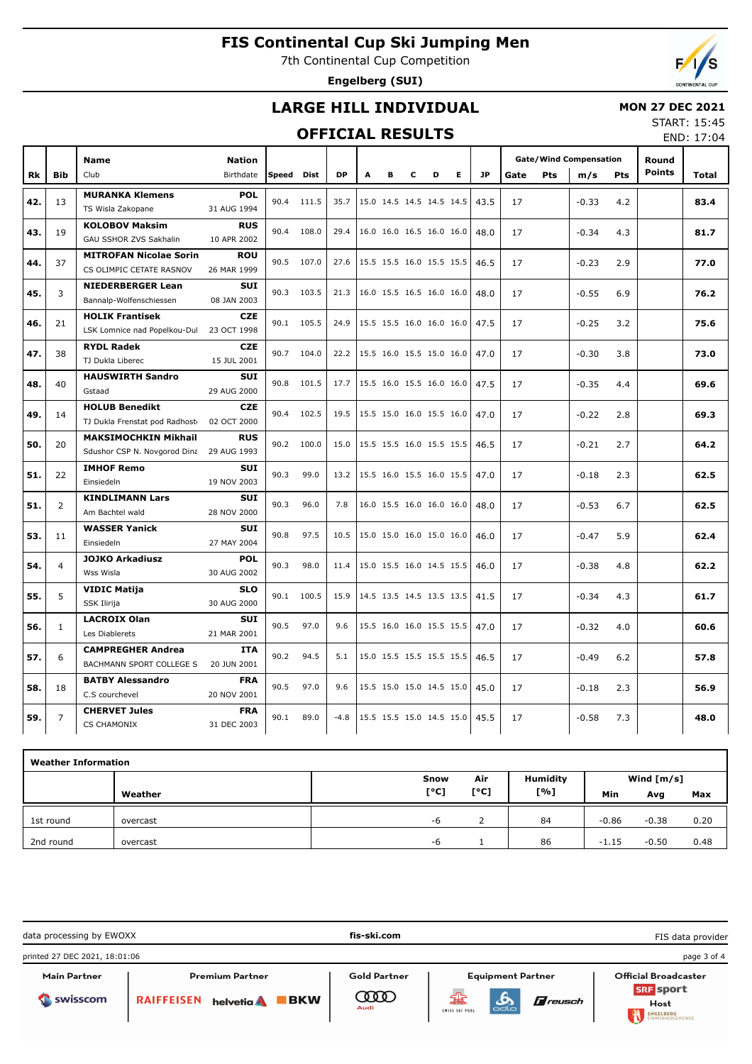7th Continental Cup Competition

**Engelberg (SUI)**

# Б

## **LARGE HILL INDIVIDUAL**

### **MON 27 DEC 2021**

### **OFFICIAL RESULTS**

START: 15:45 END: 17:04

|     |                | Name                          | <b>Nation</b> |            |            |           |                          |   |   |                          |   |           |      |            | <b>Gate/Wind Compensation</b> |            | Round         |       |
|-----|----------------|-------------------------------|---------------|------------|------------|-----------|--------------------------|---|---|--------------------------|---|-----------|------|------------|-------------------------------|------------|---------------|-------|
| Rk  | <b>Bib</b>     | Club                          | Birthdate     | Speed Dist |            | <b>DP</b> | A                        | в | c | D                        | Е | <b>JP</b> | Gate | <b>Pts</b> | m/s                           | <b>Pts</b> | <b>Points</b> | Total |
|     |                | <b>MURANKA Klemens</b>        | <b>POL</b>    |            |            |           |                          |   |   |                          |   |           |      |            |                               |            |               |       |
| 42. | 13             | TS Wisla Zakopane             | 31 AUG 1994   | 90.4       | 111.5      | 35.7      |                          |   |   | 15.0 14.5 14.5 14.5 14.5 |   | 43.5      | 17   |            | $-0.33$                       | 4.2        |               | 83.4  |
|     |                | <b>KOLOBOV Maksim</b>         | <b>RUS</b>    |            |            |           |                          |   |   |                          |   |           |      |            |                               |            |               |       |
| 43. | 19             | GAU SSHOR ZVS Sakhalin        | 10 APR 2002   | 90.4       | 108.0      | 29.4      |                          |   |   | 16.0 16.0 16.5 16.0 16.0 |   | 48.0      | 17   |            | $-0.34$                       | 4.3        |               | 81.7  |
|     |                | <b>MITROFAN Nicolae Sorin</b> | <b>ROU</b>    |            |            |           |                          |   |   |                          |   |           |      |            |                               |            |               |       |
| 44. | 37             | CS OLIMPIC CETATE RASNOV      | 26 MAR 1999   |            | 90.5 107.0 | 27.6      | 15.5 15.5 16.0 15.5 15.5 |   |   |                          |   | 46.5      | 17   |            | $-0.23$                       | 2.9        |               | 77.0  |
|     |                |                               | <b>SUI</b>    |            |            |           |                          |   |   |                          |   |           |      |            |                               |            |               |       |
| 45. | 3              | <b>NIEDERBERGER Lean</b>      |               | 90.3       | 103.5      | 21.3      |                          |   |   | 16.0 15.5 16.5 16.0 16.0 |   | 48.0      | 17   |            | $-0.55$                       | 6.9        |               | 76.2  |
|     |                | Bannalp-Wolfenschiessen       | 08 JAN 2003   |            |            |           |                          |   |   |                          |   |           |      |            |                               |            |               |       |
| 46. | 21             | <b>HOLIK Frantisek</b>        | <b>CZE</b>    |            | 90.1 105.5 | 24.9      | 15.5 15.5 16.0 16.0 16.0 |   |   |                          |   | 47.5      | 17   |            | $-0.25$                       | 3.2        |               | 75.6  |
|     |                | LSK Lomnice nad Popelkou-Dul  | 23 OCT 1998   |            |            |           |                          |   |   |                          |   |           |      |            |                               |            |               |       |
| 47. | 38             | <b>RYDL Radek</b>             | <b>CZE</b>    | 90.7       | 104.0      | 22.2      | 15.5 16.0 15.5 15.0 16.0 |   |   |                          |   | 47.0      | 17   |            | $-0.30$                       | 3.8        |               | 73.0  |
|     |                | TJ Dukla Liberec              | 15 JUL 2001   |            |            |           |                          |   |   |                          |   |           |      |            |                               |            |               |       |
| 48. | 40             | <b>HAUSWIRTH Sandro</b>       | <b>SUI</b>    | 90.8       | 101.5      | 17.7      | 15.5 16.0 15.5 16.0 16.0 |   |   |                          |   | 47.5      | 17   |            | $-0.35$                       | 4.4        |               | 69.6  |
|     |                | Gstaad                        | 29 AUG 2000   |            |            |           |                          |   |   |                          |   |           |      |            |                               |            |               |       |
| 49. | 14             | <b>HOLUB Benedikt</b>         | <b>CZE</b>    | 90.4       | 102.5      | 19.5      | 15.5 15.0 16.0 15.5 16.0 |   |   |                          |   | 47.0      | 17   |            | $-0.22$                       | 2.8        |               | 69.3  |
|     |                | TJ Dukla Frenstat pod Radhost | 02 OCT 2000   |            |            |           |                          |   |   |                          |   |           |      |            |                               |            |               |       |
| 50. | 20             | <b>MAKSIMOCHKIN Mikhail</b>   | <b>RUS</b>    | 90.2       | 100.0      | 15.0      |                          |   |   | 15.5 15.5 16.0 15.5 15.5 |   | 46.5      | 17   |            | $-0.21$                       | 2.7        |               | 64.2  |
|     |                | Sdushor CSP N. Novgorod Dina  | 29 AUG 1993   |            |            |           |                          |   |   |                          |   |           |      |            |                               |            |               |       |
| 51. | 22             | <b>IMHOF Remo</b>             | <b>SUI</b>    | 90.3       | 99.0       | 13.2      | 15.5 16.0 15.5 16.0 15.5 |   |   |                          |   | 47.0      | 17   |            | $-0.18$                       | 2.3        |               | 62.5  |
|     |                | Einsiedeln                    | 19 NOV 2003   |            |            |           |                          |   |   |                          |   |           |      |            |                               |            |               |       |
| 51. | 2              | <b>KINDLIMANN Lars</b>        | <b>SUI</b>    | 90.3       | 96.0       | 7.8       |                          |   |   | 16.0 15.5 16.0 16.0 16.0 |   | 48.0      | 17   |            | $-0.53$                       | 6.7        |               | 62.5  |
|     |                | Am Bachtel wald               | 28 NOV 2000   |            |            |           |                          |   |   |                          |   |           |      |            |                               |            |               |       |
| 53. | 11             | <b>WASSER Yanick</b>          | <b>SUI</b>    | 90.8       | 97.5       | 10.5      |                          |   |   | 15.0 15.0 16.0 15.0 16.0 |   | 46.0      | 17   |            | $-0.47$                       | 5.9        |               | 62.4  |
|     |                | Einsiedeln                    | 27 MAY 2004   |            |            |           |                          |   |   |                          |   |           |      |            |                               |            |               |       |
| 54. | $\overline{4}$ | <b>JOJKO Arkadiusz</b>        | <b>POL</b>    | 90.3       | 98.0       | 11.4      | 15.0 15.5 16.0 14.5 15.5 |   |   |                          |   | 46.0      | 17   |            | $-0.38$                       | 4.8        |               | 62.2  |
|     |                | Wss Wisla                     | 30 AUG 2002   |            |            |           |                          |   |   |                          |   |           |      |            |                               |            |               |       |
| 55. | 5              | <b>VIDIC Matija</b>           | <b>SLO</b>    | 90.1       | 100.5      | 15.9      | 14.5 13.5 14.5 13.5 13.5 |   |   |                          |   | 41.5      | 17   |            | $-0.34$                       | 4.3        |               | 61.7  |
|     |                | <b>SSK Ilirija</b>            | 30 AUG 2000   |            |            |           |                          |   |   |                          |   |           |      |            |                               |            |               |       |
| 56. | $\mathbf{1}$   | <b>LACROIX Olan</b>           | <b>SUI</b>    | 90.5       | 97.0       | 9.6       |                          |   |   | 15.5 16.0 16.0 15.5 15.5 |   | 47.0      | 17   |            | $-0.32$                       | 4.0        |               | 60.6  |
|     |                | Les Diablerets                | 21 MAR 2001   |            |            |           |                          |   |   |                          |   |           |      |            |                               |            |               |       |
| 57. | 6              | <b>CAMPREGHER Andrea</b>      | <b>ITA</b>    | 90.2       | 94.5       | 5.1       |                          |   |   | 15.0 15.5 15.5 15.5 15.5 |   | 46.5      | 17   |            | $-0.49$                       | 6.2        |               | 57.8  |
|     |                | BACHMANN SPORT COLLEGE S      | 20 JUN 2001   |            |            |           |                          |   |   |                          |   |           |      |            |                               |            |               |       |
| 58. | 18             | <b>BATBY Alessandro</b>       | <b>FRA</b>    | 90.5       | 97.0       | 9.6       |                          |   |   | 15.5 15.0 15.0 14.5 15.0 |   | 45.0      | 17   |            | $-0.18$                       | 2.3        |               | 56.9  |
|     |                | C.S courchevel                | 20 NOV 2001   |            |            |           |                          |   |   |                          |   |           |      |            |                               |            |               |       |
| 59. | $\overline{7}$ | <b>CHERVET Jules</b>          | <b>FRA</b>    | 90.1       | 89.0       | $-4.8$    | 15.5 15.5 15.0 14.5 15.0 |   |   |                          |   | 45.5      | 17   |            | $-0.58$                       | 7.3        |               | 48.0  |
|     |                | <b>CS CHAMONIX</b>            | 31 DEC 2003   |            |            |           |                          |   |   |                          |   |           |      |            |                               |            |               |       |

| <b>Weather Information</b> |          |      |                                 |                 |         |              |      |  |  |  |  |
|----------------------------|----------|------|---------------------------------|-----------------|---------|--------------|------|--|--|--|--|
|                            |          | Snow | Air                             | <b>Humidity</b> |         | Wind $[m/s]$ |      |  |  |  |  |
|                            | Weather  | [°C] | $\mathsf{I}^\circ \mathsf{C}$ ] | [%]             | Min     | Avg          | Max  |  |  |  |  |
| 1st round                  | overcast | -6   |                                 | 84              | $-0.86$ | $-0.38$      | 0.20 |  |  |  |  |
| 2nd round                  | overcast | -6   |                                 | 86              | $-1.15$ | $-0.50$      | 0.48 |  |  |  |  |

| data processing by EWOXX        |                                                             | fis-ski.com                             |                                                                                 | FIS data provider                                                    |
|---------------------------------|-------------------------------------------------------------|-----------------------------------------|---------------------------------------------------------------------------------|----------------------------------------------------------------------|
| printed 27 DEC 2021, 18:01:06   |                                                             |                                         |                                                                                 | page 3 of 4                                                          |
| <b>Main Partner</b><br>Swisscom | <b>Premium Partner</b><br><b>BKW</b><br>RAIFFEISEN helvetia | <b>Gold Partner</b><br>$\infty$<br>Audi | <b>Equipment Partner</b><br>꿃<br><b>A</b> reusch<br>∞<br>odlo<br>SWISS SKI POOL | <b>Official Broadcaster</b><br><b>SRF</b> sport<br>Host<br>ENGELBERG |